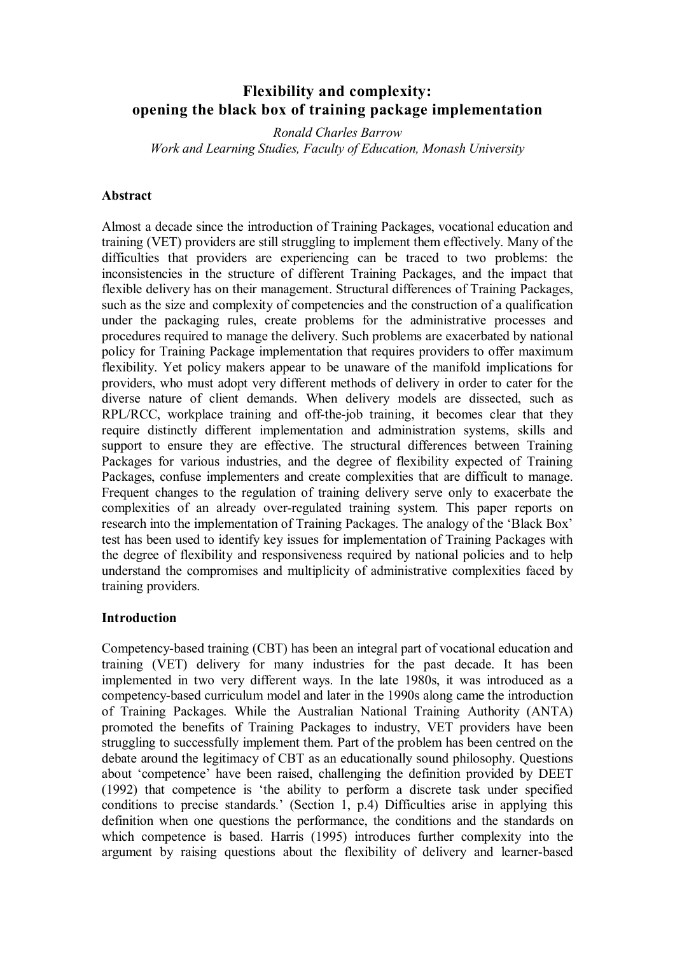# **Flexibility and complexity: opening the black box of training package implementation**

*Ronald Charles Barrow Work and Learning Studies, Faculty of Education, Monash University*

### **Abstract**

Almost a decade since the introduction of Training Packages, vocational education and training (VET) providers are still struggling to implement them effectively. Many of the difficulties that providers are experiencing can be traced to two problems: the inconsistencies in the structure of different Training Packages, and the impact that flexible delivery has on their management. Structural differences of Training Packages, such as the size and complexity of competencies and the construction of a qualification under the packaging rules, create problems for the administrative processes and procedures required to manage the delivery. Such problems are exacerbated by national policy for Training Package implementation that requires providers to offer maximum flexibility. Yet policy makers appear to be unaware of the manifold implications for providers, who must adopt very different methods of delivery in order to cater for the diverse nature of client demands. When delivery models are dissected, such as RPL/RCC, workplace training and off-the-job training, it becomes clear that they require distinctly different implementation and administration systems, skills and support to ensure they are effective. The structural differences between Training Packages for various industries, and the degree of flexibility expected of Training Packages, confuse implementers and create complexities that are difficult to manage. Frequent changes to the regulation of training delivery serve only to exacerbate the complexities of an already over-regulated training system. This paper reports on research into the implementation of Training Packages. The analogy of the 'Black Box' test has been used to identify key issues for implementation of Training Packages with the degree of flexibility and responsiveness required by national policies and to help understand the compromises and multiplicity of administrative complexities faced by training providers.

#### **Introduction**

Competencybased training (CBT) has been an integral part of vocational education and training (VET) delivery for many industries for the past decade. It has been implemented in two very different ways. In the late 1980s, it was introduced as a competencybased curriculum model and later in the 1990s along came the introduction of Training Packages. While the Australian National Training Authority (ANTA) promoted the benefits of Training Packages to industry, VET providers have been struggling to successfully implement them. Part of the problem has been centred on the debate around the legitimacy of CBT as an educationally sound philosophy. Questions about 'competence' have been raised, challenging the definition provided by DEET (1992) that competence is 'the ability to perform a discrete task under specified conditions to precise standards.' (Section 1, p.4) Difficulties arise in applying this definition when one questions the performance, the conditions and the standards on which competence is based. Harris (1995) introduces further complexity into the argument by raising questions about the flexibility of delivery and learner-based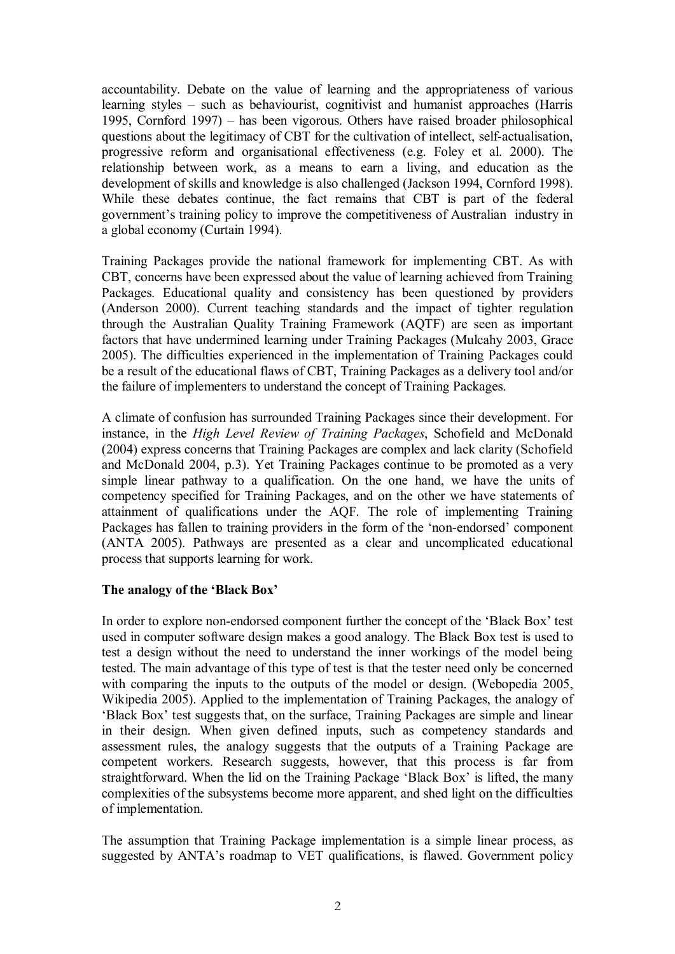accountability. Debate on the value of learning and the appropriateness of various learning styles – such as behaviourist, cognitivist and humanist approaches (Harris 1995, Cornford 1997) – has been vigorous. Others have raised broader philosophical questions about the legitimacy of CBT for the cultivation of intellect, self-actualisation, progressive reform and organisational effectiveness (e.g. Foley et al. 2000). The relationship between work, as a means to earn a living, and education as the development of skills and knowledge is also challenged (Jackson 1994, Cornford 1998). While these debates continue, the fact remains that CBT is part of the federal government's training policy to improve the competitiveness of Australian industry in a global economy (Curtain 1994).

Training Packages provide the national framework for implementing CBT. As with CBT, concerns have been expressed about the value of learning achieved from Training Packages. Educational quality and consistency has been questioned by providers (Anderson 2000). Current teaching standards and the impact of tighter regulation through the Australian Quality Training Framework (AQTF) are seen as important factors that have undermined learning under Training Packages (Mulcahy 2003, Grace 2005). The difficulties experienced in the implementation of Training Packages could be a result of the educational flaws of CBT, Training Packages as a delivery tool and/or the failure of implementers to understand the concept of Training Packages.

A climate of confusion has surrounded Training Packages since their development. For instance, in the *High Level Review of Training Packages*, Schofield and McDonald (2004) express concerns that Training Packages are complex and lack clarity (Schofield and McDonald 2004, p.3). Yet Training Packages continue to be promoted as a very simple linear pathway to a qualification. On the one hand, we have the units of competency specified for Training Packages, and on the other we have statements of attainment of qualifications under the AQF. The role of implementing Training Packages has fallen to training providers in the form of the 'non-endorsed' component (ANTA 2005). Pathways are presented as a clear and uncomplicated educational process that supports learning for work.

# **The analogy of the 'Black Box'**

In order to explore non-endorsed component further the concept of the 'Black Box' test used in computer software design makes a good analogy. The Black Box test is used to test a design without the need to understand the inner workings of the model being tested. The main advantage of this type of test is that the tester need only be concerned with comparing the inputs to the outputs of the model or design. (Webopedia 2005, Wikipedia 2005). Applied to the implementation of Training Packages, the analogy of 'Black Box' test suggests that, on the surface, Training Packages are simple and linear in their design. When given defined inputs, such as competency standards and assessment rules, the analogy suggests that the outputs of a Training Package are competent workers. Research suggests, however, that this process is far from straightforward. When the lid on the Training Package 'Black Box' is lifted, the many complexities of the subsystems become more apparent, and shed light on the difficulties of implementation.

The assumption that Training Package implementation is a simple linear process, as suggested by ANTA's roadmap to VET qualifications, is flawed. Government policy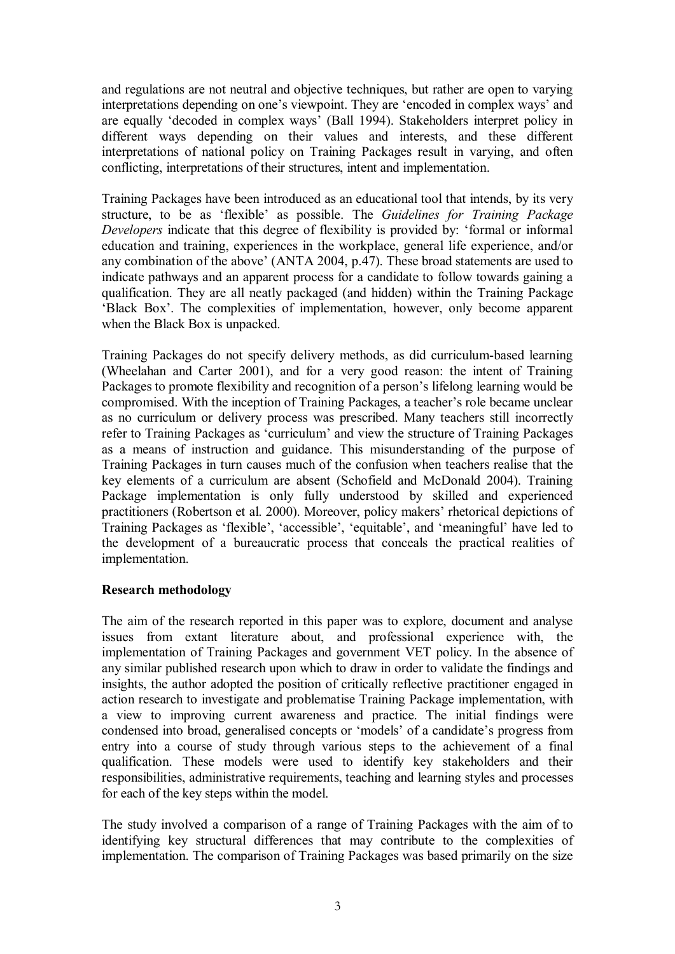and regulations are not neutral and objective techniques, but rather are open to varying interpretations depending on one's viewpoint. They are 'encoded in complex ways' and are equally 'decoded in complex ways' (Ball 1994). Stakeholders interpret policy in different ways depending on their values and interests, and these different interpretations of national policy on Training Packages result in varying, and often conflicting, interpretations of their structures, intent and implementation.

Training Packages have been introduced as an educational tool that intends, by its very structure, to be as 'flexible' as possible. The *Guidelines for Training Package Developers* indicate that this degree of flexibility is provided by: 'formal or informal education and training, experiences in the workplace, general life experience, and/or any combination of the above' (ANTA 2004, p.47). These broad statements are used to indicate pathways and an apparent process for a candidate to follow towards gaining a qualification. They are all neatly packaged (and hidden) within the Training Package 'Black Box'. The complexities of implementation, however, only become apparent when the Black Box is unpacked.

Training Packages do not specify delivery methods, as did curriculumbased learning (Wheelahan and Carter 2001), and for a very good reason: the intent of Training Packages to promote flexibility and recognition of a person's lifelong learning would be compromised. With the inception of Training Packages, a teacher's role became unclear as no curriculum or delivery process was prescribed. Many teachers still incorrectly refer to Training Packages as 'curriculum' and view the structure of Training Packages as a means of instruction and guidance. This misunderstanding of the purpose of Training Packages in turn causes much of the confusion when teachers realise that the key elements of a curriculum are absent (Schofield and McDonald 2004). Training Package implementation is only fully understood by skilled and experienced practitioners (Robertson et al. 2000). Moreover, policy makers' rhetorical depictions of Training Packages as 'flexible', 'accessible', 'equitable', and 'meaningful' have led to the development of a bureaucratic process that conceals the practical realities of implementation.

# **Research methodology**

The aim of the research reported in this paper was to explore, document and analyse issues from extant literature about, and professional experience with, the implementation of Training Packages and government VET policy. In the absence of any similar published research upon which to draw in order to validate the findings and insights, the author adopted the position of critically reflective practitioner engaged in action research to investigate and problematise Training Package implementation, with a view to improving current awareness and practice. The initial findings were condensed into broad, generalised concepts or 'models' of a candidate's progress from entry into a course of study through various steps to the achievement of a final qualification. These models were used to identify key stakeholders and their responsibilities, administrative requirements, teaching and learning styles and processes for each of the key steps within the model.

The study involved a comparison of a range of Training Packages with the aim of to identifying key structural differences that may contribute to the complexities of implementation. The comparison of Training Packages was based primarily on the size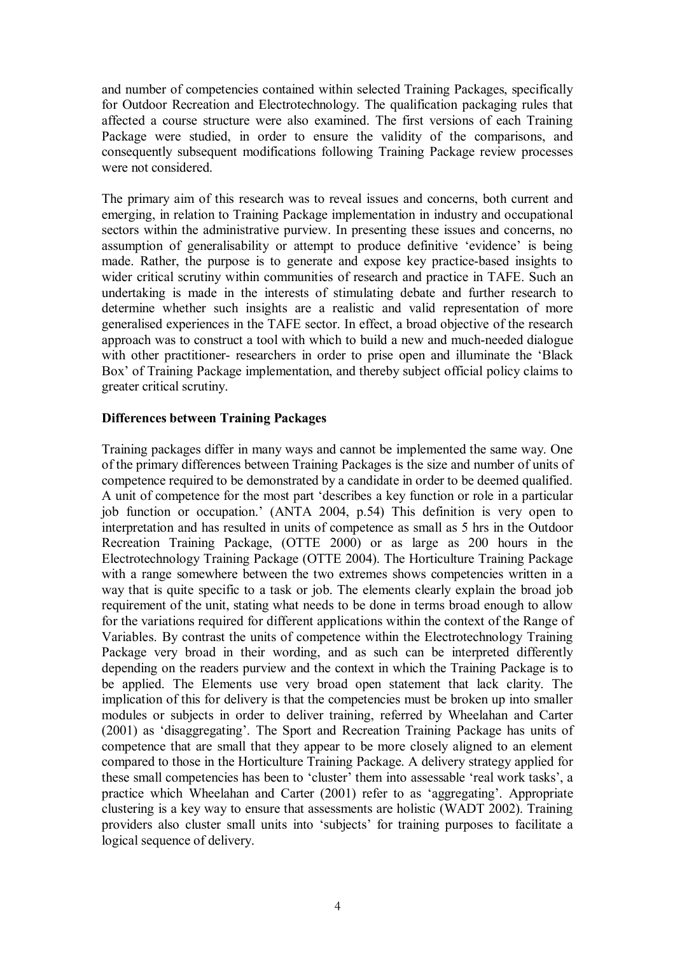and number of competencies contained within selected Training Packages, specifically for Outdoor Recreation and Electrotechnology. The qualification packaging rules that affected a course structure were also examined. The first versions of each Training Package were studied, in order to ensure the validity of the comparisons, and consequently subsequent modifications following Training Package review processes were not considered.

The primary aim of this research was to reveal issues and concerns, both current and emerging, in relation to Training Package implementation in industry and occupational sectors within the administrative purview. In presenting these issues and concerns, no assumption of generalisability or attempt to produce definitive 'evidence' is being made. Rather, the purpose is to generate and expose key practice-based insights to wider critical scrutiny within communities of research and practice in TAFE. Such an undertaking is made in the interests of stimulating debate and further research to determine whether such insights are a realistic and valid representation of more generalised experiences in the TAFE sector. In effect, a broad objective of the research approach was to construct a tool with which to build a new and much-needed dialogue with other practitioner- researchers in order to prise open and illuminate the 'Black Box' of Training Package implementation, and thereby subject official policy claims to greater critical scrutiny.

## **Differences between Training Packages**

Training packages differ in many ways and cannot be implemented the same way. One of the primary differences between Training Packages is the size and number of units of competence required to be demonstrated by a candidate in order to be deemed qualified. A unit of competence for the most part 'describes a key function or role in a particular job function or occupation.' (ANTA 2004, p.54) This definition is very open to interpretation and has resulted in units of competence as small as 5 hrs in the Outdoor Recreation Training Package, (OTTE 2000) or as large as 200 hours in the Electrotechnology Training Package (OTTE 2004). The Horticulture Training Package with a range somewhere between the two extremes shows competencies written in a way that is quite specific to a task or job. The elements clearly explain the broad job requirement of the unit, stating what needs to be done in terms broad enough to allow for the variations required for different applications within the context of the Range of Variables. By contrast the units of competence within the Electrotechnology Training Package very broad in their wording, and as such can be interpreted differently depending on the readers purview and the context in which the Training Package is to be applied. The Elements use very broad open statement that lack clarity. The implication of this for delivery is that the competencies must be broken up into smaller modules or subjects in order to deliver training, referred by Wheelahan and Carter (2001) as 'disaggregating'. The Sport and Recreation Training Package has units of competence that are small that they appear to be more closely aligned to an element compared to those in the Horticulture Training Package. A delivery strategy applied for these small competencies has been to 'cluster' them into assessable 'real work tasks', a practice which Wheelahan and Carter (2001) refer to as 'aggregating'. Appropriate clustering is a key way to ensure that assessments are holistic (WADT 2002). Training providers also cluster small units into 'subjects' for training purposes to facilitate a logical sequence of delivery.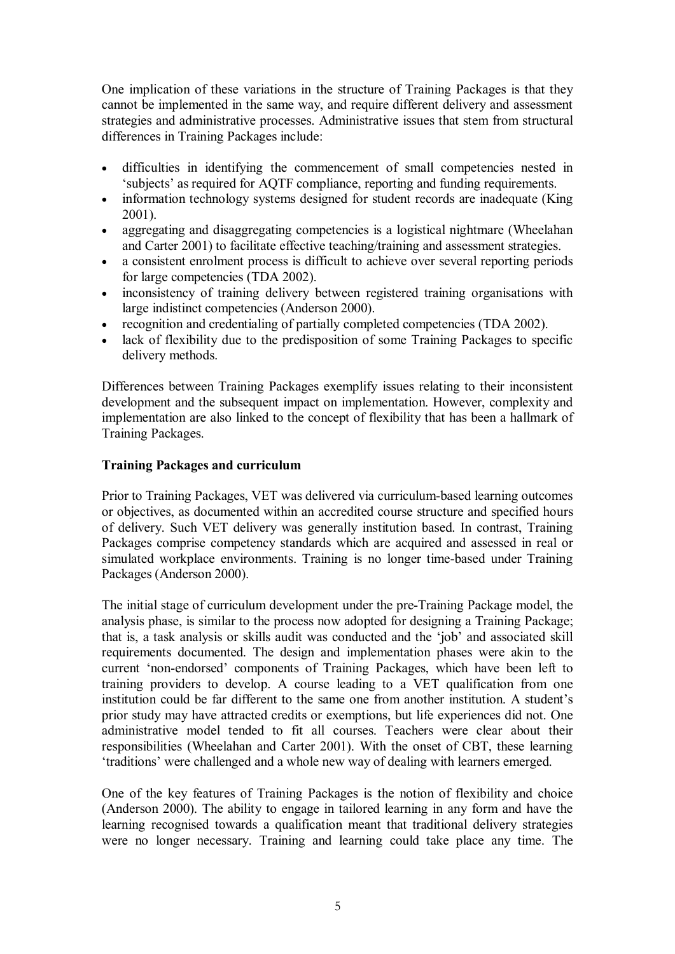One implication of these variations in the structure of Training Packages is that they cannot be implemented in the same way, and require different delivery and assessment strategies and administrative processes. Administrative issues that stem from structural differences in Training Packages include:

- · difficulties in identifying the commencement of small competencies nested in 'subjects' as required for AQTF compliance, reporting and funding requirements.
- information technology systems designed for student records are inadequate (King 2001).
- · aggregating and disaggregating competencies is a logistical nightmare (Wheelahan and Carter 2001) to facilitate effective teaching/training and assessment strategies.
- · a consistent enrolment process is difficult to achieve over several reporting periods for large competencies (TDA 2002).
- inconsistency of training delivery between registered training organisations with large indistinct competencies (Anderson 2000).
- · recognition and credentialing of partially completed competencies (TDA 2002).
- lack of flexibility due to the predisposition of some Training Packages to specific delivery methods.

Differences between Training Packages exemplify issues relating to their inconsistent development and the subsequent impact on implementation. However, complexity and implementation are also linked to the concept of flexibility that has been a hallmark of Training Packages.

### **Training Packages and curriculum**

Prior to Training Packages, VET was delivered via curriculum-based learning outcomes or objectives, as documented within an accredited course structure and specified hours of delivery. Such VET delivery was generally institution based. In contrast, Training Packages comprise competency standards which are acquired and assessed in real or simulated workplace environments. Training is no longer time-based under Training Packages (Anderson 2000).

The initial stage of curriculum development under the pre-Training Package model, the analysis phase, is similar to the process now adopted for designing a Training Package; that is, a task analysis or skills audit was conducted and the 'job' and associated skill requirements documented. The design and implementation phases were akin to the current 'non-endorsed' components of Training Packages, which have been left to training providers to develop. A course leading to a VET qualification from one institution could be far different to the same one from another institution. A student's prior study may have attracted credits or exemptions, but life experiences did not. One administrative model tended to fit all courses. Teachers were clear about their responsibilities (Wheelahan and Carter 2001). With the onset of CBT, these learning 'traditions' were challenged and a whole new way of dealing with learners emerged.

One of the key features of Training Packages is the notion of flexibility and choice (Anderson 2000). The ability to engage in tailored learning in any form and have the learning recognised towards a qualification meant that traditional delivery strategies were no longer necessary. Training and learning could take place any time. The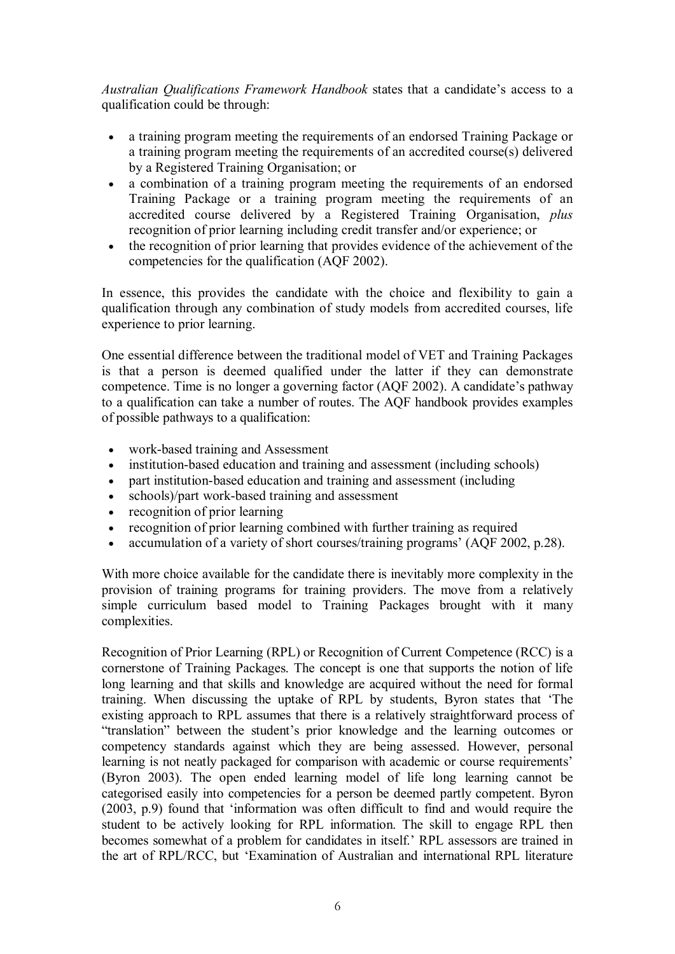*Australian Qualifications Framework Handbook* states that a candidate's access to a qualification could be through:

- · a training program meeting the requirements of an endorsed Training Package or a training program meeting the requirements of an accredited course(s) delivered by a Registered Training Organisation; or
- · a combination of a training program meeting the requirements of an endorsed Training Package or a training program meeting the requirements of an accredited course delivered by a Registered Training Organisation, *plus* recognition of prior learning including credit transfer and/or experience; or
- · the recognition of prior learning that provides evidence of the achievement of the competencies for the qualification (AQF 2002).

In essence, this provides the candidate with the choice and flexibility to gain a qualification through any combination of study models from accredited courses, life experience to prior learning.

One essential difference between the traditional model of VET and Training Packages is that a person is deemed qualified under the latter if they can demonstrate competence. Time is no longer a governing factor (AQF 2002). A candidate's pathway to a qualification can take a number of routes. The AQF handbook provides examples of possible pathways to a qualification:

- work-based training and Assessment
- institution-based education and training and assessment (including schools)
- part institution-based education and training and assessment (including
- schools)/part work-based training and assessment
- recognition of prior learning
- recognition of prior learning combined with further training as required
- accumulation of a variety of short courses/training programs' (AQF 2002, p.28).

With more choice available for the candidate there is inevitably more complexity in the provision of training programs for training providers. The move from a relatively simple curriculum based model to Training Packages brought with it many complexities.

Recognition of Prior Learning (RPL) or Recognition of Current Competence (RCC) is a cornerstone of Training Packages. The concept is one that supports the notion of life long learning and that skills and knowledge are acquired without the need for formal training. When discussing the uptake of RPL by students, Byron states that 'The existing approach to RPL assumes that there is a relatively straightforward process of "translation" between the student's prior knowledge and the learning outcomes or competency standards against which they are being assessed. However, personal learning is not neatly packaged for comparison with academic or course requirements' (Byron 2003). The open ended learning model of life long learning cannot be categorised easily into competencies for a person be deemed partly competent. Byron (2003, p.9) found that 'information was often difficult to find and would require the student to be actively looking for RPL information. The skill to engage RPL then becomes somewhat of a problem for candidates in itself.' RPL assessors are trained in the art of RPL/RCC, but 'Examination of Australian and international RPL literature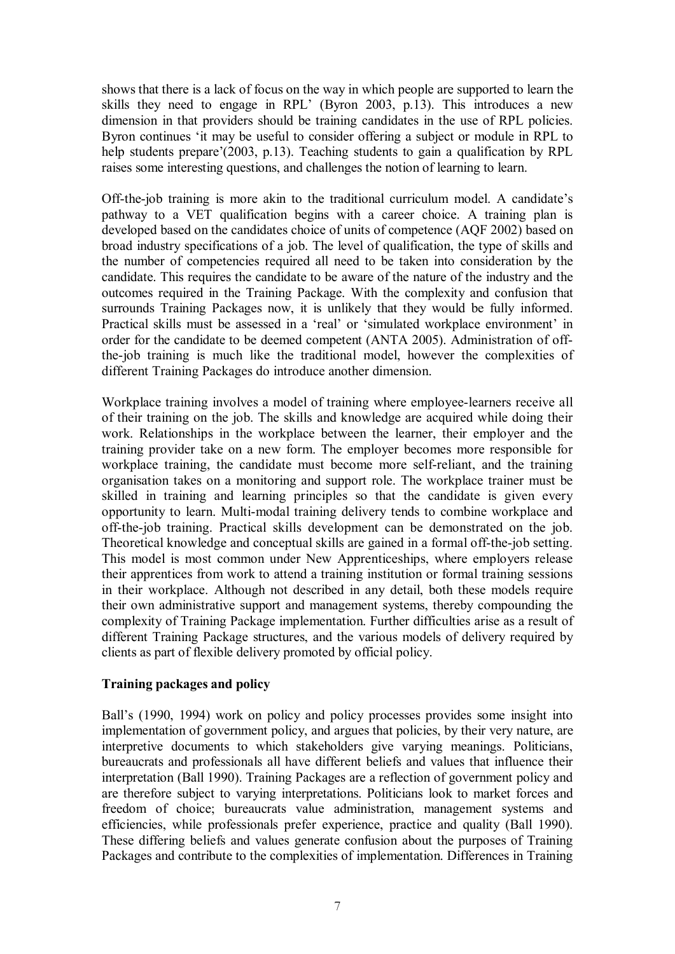shows that there is a lack of focus on the way in which people are supported to learn the skills they need to engage in RPL' (Byron 2003, p.13). This introduces a new dimension in that providers should be training candidates in the use of RPL policies. Byron continues 'it may be useful to consider offering a subject or module in RPL to help students prepare'(2003, p.13). Teaching students to gain a qualification by RPL raises some interesting questions, and challenges the notion of learning to learn.

Off-the-job training is more akin to the traditional curriculum model. A candidate's pathway to a VET qualification begins with a career choice. A training plan is developed based on the candidates choice of units of competence (AQF 2002) based on broad industry specifications of a job. The level of qualification, the type of skills and the number of competencies required all need to be taken into consideration by the candidate. This requires the candidate to be aware of the nature of the industry and the outcomes required in the Training Package. With the complexity and confusion that surrounds Training Packages now, it is unlikely that they would be fully informed. Practical skills must be assessed in a 'real' or 'simulated workplace environment' in order for the candidate to be deemed competent (ANTA 2005). Administration of offthe-job training is much like the traditional model, however the complexities of different Training Packages do introduce another dimension.

Workplace training involves a model of training where employeelearners receive all of their training on the job. The skills and knowledge are acquired while doing their work. Relationships in the workplace between the learner, their employer and the training provider take on a new form. The employer becomes more responsible for workplace training, the candidate must become more self-reliant, and the training organisation takes on a monitoring and support role. The workplace trainer must be skilled in training and learning principles so that the candidate is given every opportunity to learn. Multi-modal training delivery tends to combine workplace and off-the-job training. Practical skills development can be demonstrated on the job. Theoretical knowledge and conceptual skills are gained in a formal off-the-job setting. This model is most common under New Apprenticeships, where employers release their apprentices from work to attend a training institution or formal training sessions in their workplace. Although not described in any detail, both these models require their own administrative support and management systems, thereby compounding the complexity of Training Package implementation. Further difficulties arise as a result of different Training Package structures, and the various models of delivery required by clients as part of flexible delivery promoted by official policy.

# **Training packages and policy**

Ball's (1990, 1994) work on policy and policy processes provides some insight into implementation of government policy, and argues that policies, by their very nature, are interpretive documents to which stakeholders give varying meanings. Politicians, bureaucrats and professionals all have different beliefs and values that influence their interpretation (Ball 1990). Training Packages are a reflection of government policy and are therefore subject to varying interpretations. Politicians look to market forces and freedom of choice; bureaucrats value administration, management systems and efficiencies, while professionals prefer experience, practice and quality (Ball 1990). These differing beliefs and values generate confusion about the purposes of Training Packages and contribute to the complexities of implementation. Differences in Training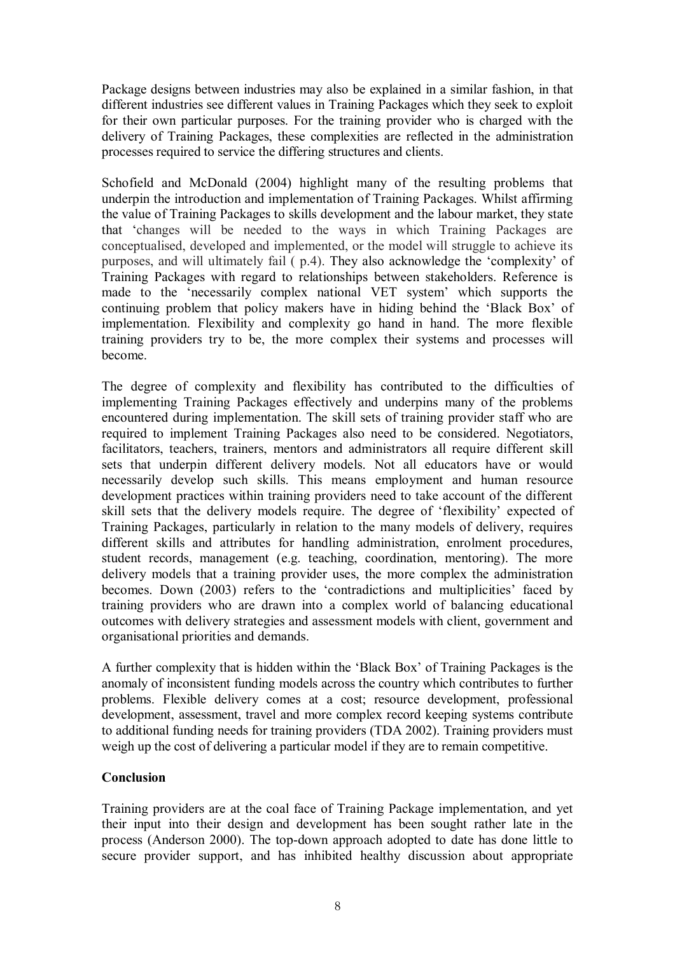Package designs between industries may also be explained in a similar fashion, in that different industries see different values in Training Packages which they seek to exploit for their own particular purposes. For the training provider who is charged with the delivery of Training Packages, these complexities are reflected in the administration processes required to service the differing structures and clients.

Schofield and McDonald (2004) highlight many of the resulting problems that underpin the introduction and implementation of Training Packages. Whilst affirming the value of Training Packages to skills development and the labour market, they state that 'changes will be needed to the ways in which Training Packages are conceptualised, developed and implemented, or the model will struggle to achieve its purposes, and will ultimately fail ( p.4). They also acknowledge the 'complexity' of Training Packages with regard to relationships between stakeholders. Reference is made to the 'necessarily complex national VET system' which supports the continuing problem that policy makers have in hiding behind the 'Black Box' of implementation. Flexibility and complexity go hand in hand. The more flexible training providers try to be, the more complex their systems and processes will become.

The degree of complexity and flexibility has contributed to the difficulties of implementing Training Packages effectively and underpins many of the problems encountered during implementation. The skill sets of training provider staff who are required to implement Training Packages also need to be considered. Negotiators, facilitators, teachers, trainers, mentors and administrators all require different skill sets that underpin different delivery models. Not all educators have or would necessarily develop such skills. This means employment and human resource development practices within training providers need to take account of the different skill sets that the delivery models require. The degree of 'flexibility' expected of Training Packages, particularly in relation to the many models of delivery, requires different skills and attributes for handling administration, enrolment procedures, student records, management (e.g. teaching, coordination, mentoring). The more delivery models that a training provider uses, the more complex the administration becomes. Down (2003) refers to the 'contradictions and multiplicities' faced by training providers who are drawn into a complex world of balancing educational outcomes with delivery strategies and assessment models with client, government and organisational priorities and demands.

A further complexity that is hidden within the 'Black Box' of Training Packages is the anomaly of inconsistent funding models across the country which contributes to further problems. Flexible delivery comes at a cost; resource development, professional development, assessment, travel and more complex record keeping systems contribute to additional funding needs for training providers (TDA 2002). Training providers must weigh up the cost of delivering a particular model if they are to remain competitive.

# **Conclusion**

Training providers are at the coal face of Training Package implementation, and yet their input into their design and development has been sought rather late in the process (Anderson 2000). The top-down approach adopted to date has done little to secure provider support, and has inhibited healthy discussion about appropriate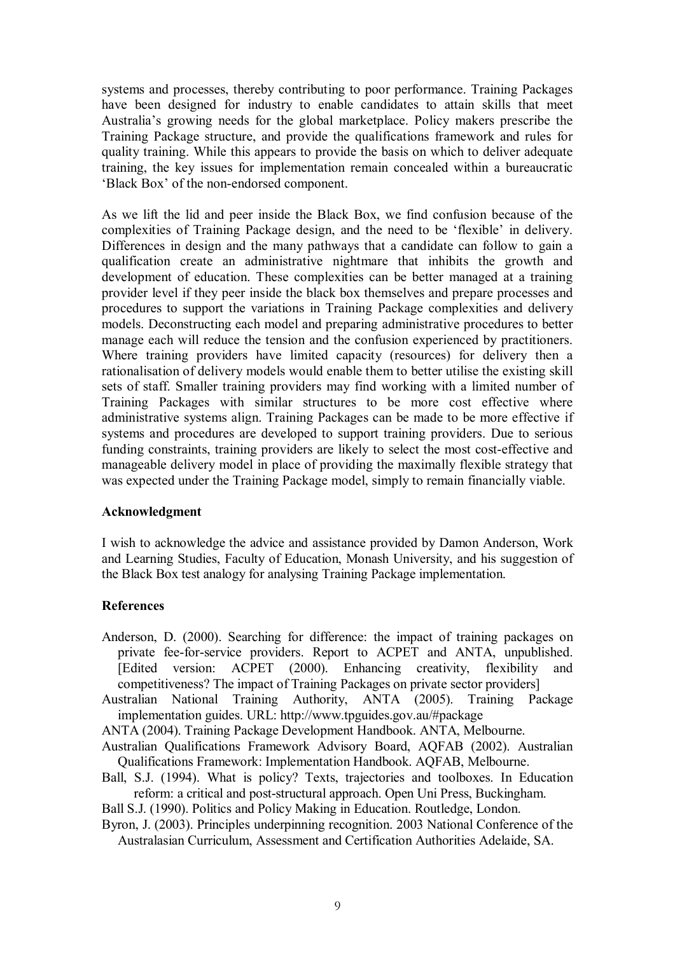systems and processes, thereby contributing to poor performance. Training Packages have been designed for industry to enable candidates to attain skills that meet Australia's growing needs for the global marketplace. Policy makers prescribe the Training Package structure, and provide the qualifications framework and rules for quality training. While this appears to provide the basis on which to deliver adequate training, the key issues for implementation remain concealed within a bureaucratic 'Black Box' of the non-endorsed component.

As we lift the lid and peer inside the Black Box, we find confusion because of the complexities of Training Package design, and the need to be 'flexible' in delivery. Differences in design and the many pathways that a candidate can follow to gain a qualification create an administrative nightmare that inhibits the growth and development of education. These complexities can be better managed at a training provider level if they peer inside the black box themselves and prepare processes and procedures to support the variations in Training Package complexities and delivery models. Deconstructing each model and preparing administrative procedures to better manage each will reduce the tension and the confusion experienced by practitioners. Where training providers have limited capacity (resources) for delivery then a rationalisation of delivery models would enable them to better utilise the existing skill sets of staff. Smaller training providers may find working with a limited number of Training Packages with similar structures to be more cost effective where administrative systems align. Training Packages can be made to be more effective if systems and procedures are developed to support training providers. Due to serious funding constraints, training providers are likely to select the most cost-effective and manageable delivery model in place of providing the maximally flexible strategy that was expected under the Training Package model, simply to remain financially viable.

#### **Acknowledgment**

I wish to acknowledge the advice and assistance provided by Damon Anderson, Work and Learning Studies, Faculty of Education, Monash University, and his suggestion of the Black Box test analogy for analysing Training Package implementation.

# **References**

- Anderson, D. (2000). Searching for difference: the impact of training packages on private fee-for-service providers. Report to ACPET and ANTA, unpublished. [Edited version: ACPET (2000). Enhancing creativity, flexibility and competitiveness? The impact of Training Packages on private sector providers]
- Australian National Training Authority, ANTA (2005). Training Package implementation guides. URL: http://www.tpguides.gov.au/#package

ANTA (2004). Training Package Development Handbook. ANTA, Melbourne.

- Australian Qualifications Framework Advisory Board, AQFAB (2002). Australian Qualifications Framework: Implementation Handbook. AQFAB, Melbourne.
- Ball, S.J. (1994). What is policy? Texts, trajectories and toolboxes. In Education reform: a critical and post-structural approach. Open Uni Press, Buckingham.
- Ball S.J. (1990). Politics and Policy Making in Education. Routledge, London.
- Byron, J. (2003). Principles underpinning recognition. 2003 National Conference of the Australasian Curriculum, Assessment and Certification Authorities Adelaide, SA.